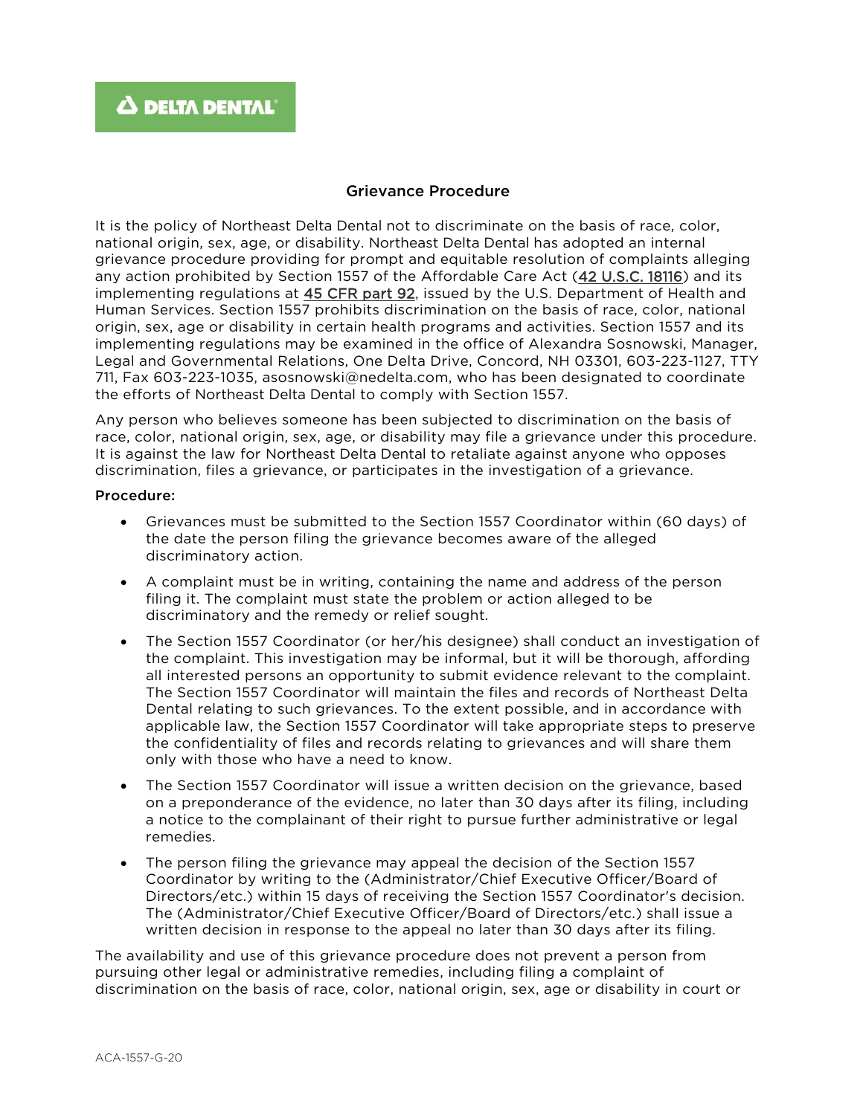## Grievance Procedure

It is the policy of Northeast Delta Dental not to discriminate on the basis of race, color, national origin, sex, age, or disability. Northeast Delta Dental has adopted an internal grievance procedure providing for prompt and equitable resolution of complaints alleging any action prohibited by Section 1557 of the Affordable Care Act [\(42 U.S.C. 18116\)](http://api.fdsys.gov/link?collection=uscode&title=42&year=mostrecent§ion=18116&type=usc&link-type=html) and its implementing regulations at [45 CFR part 92,](https://www.federalregister.gov/select-citation/2016/05/18/45-CFR-92) issued by the U.S. Department of Health and Human Services. Section 1557 prohibits discrimination on the basis of race, color, national origin, sex, age or disability in certain health programs and activities. Section 1557 and its implementing regulations may be examined in the office of Alexandra Sosnowski, Manager, Legal and Governmental Relations, One Delta Drive, Concord, NH 03301, 603-223-1127, TTY 711, Fax 603-223-1035, asosnowski@nedelta.com, who has been designated to coordinate the efforts of Northeast Delta Dental to comply with Section 1557.

Any person who believes someone has been subjected to discrimination on the basis of race, color, national origin, sex, age, or disability may file a grievance under this procedure. It is against the law for Northeast Delta Dental to retaliate against anyone who opposes discrimination, files a grievance, or participates in the investigation of a grievance.

## Procedure:

- Grievances must be submitted to the Section 1557 Coordinator within (60 days) of the date the person filing the grievance becomes aware of the alleged discriminatory action.
- A complaint must be in writing, containing the name and address of the person filing it. The complaint must state the problem or action alleged to be discriminatory and the remedy or relief sought.
- The Section 1557 Coordinator (or her/his designee) shall conduct an investigation of the complaint. This investigation may be informal, but it will be thorough, affording all interested persons an opportunity to submit evidence relevant to the complaint. The Section 1557 Coordinator will maintain the files and records of Northeast Delta Dental relating to such grievances. To the extent possible, and in accordance with applicable law, the Section 1557 Coordinator will take appropriate steps to preserve the confidentiality of files and records relating to grievances and will share them only with those who have a need to know.
- The Section 1557 Coordinator will issue a written decision on the grievance, based on a preponderance of the evidence, no later than 30 days after its filing, including a notice to the complainant of their right to pursue further administrative or legal remedies.
- The person filing the grievance may appeal the decision of the Section 1557 Coordinator by writing to the (Administrator/Chief Executive Officer/Board of Directors/etc.) within 15 days of receiving the Section 1557 Coordinator's decision. The (Administrator/Chief Executive Officer/Board of Directors/etc.) shall issue a written decision in response to the appeal no later than 30 days after its filing.

The availability and use of this grievance procedure does not prevent a person from pursuing other legal or administrative remedies, including filing a complaint of discrimination on the basis of race, color, national origin, sex, age or disability in court or